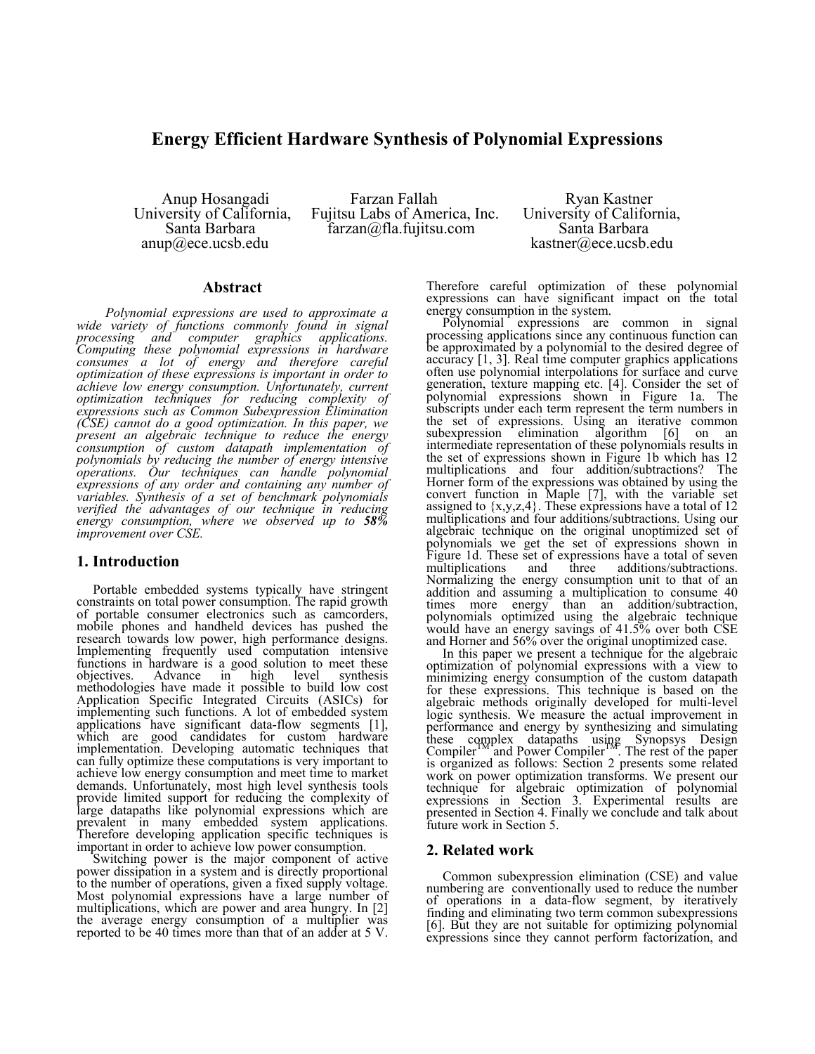# **Energy Efficient Hardware Synthesis of Polynomial Expressions**

Santa Barbara farzan@fla.fujitsu.com<br>anup@ece.ucsb.edu

Anup Hosangadi Farzan Fallah Ryan Kastner University of California, Fujitsu Labs of America, Inc. University of California,

kastner@ece.ucsb.edu

### **Abstract**

*Polynomial expressions are used to approximate a wide variety of functions commonly found in signal processing and computer graphics applications. Computing these polynomial expressions in hardware consumes a lot of energy and therefore careful optimization of these expressions is important in order to achieve low energy consumption. Unfortunately, current optimization techniques for reducing complexity of expressions such as Common Subexpression Elimination (CSE) cannot do a good optimization. In this paper, we present an algebraic technique to reduce the energy consumption of custom datapath implementation of polynomials by reducing the number of energy intensive operations. Our techniques can handle polynomial expressions of any order and containing any number of variables. Synthesis of a set of benchmark polynomials verified the advantages of our technique in reducing energy consumption, where we observed up to 58% improvement over CSE.* 

## **1. Introduction**

 Portable embedded systems typically have stringent constraints on total power consumption. The rapid growth of portable consumer electronics such as camcorders, mobile phones and handheld devices has pushed the research towards low power, high performance designs. Implementing frequently used computation intensive functions in hardware is a good solution to meet these<br>objectives. Advance in high level synthesis Advance in high level synthesis methodologies have made it possible to build low cost Application Specific Integrated Circuits (ASICs) for implementing such functions. A lot of embedded system applications have significant data-flow segments [1], which are good candidates for custom hardware implementation. Developing automatic techniques that can fully optimize these computations is very important to achieve low energy consumption and meet time to market demands. Unfortunately, most high level synthesis tools provide limited support for reducing the complexity of large datapaths like polynomial expressions which are prevalent in many embedded system applications. Therefore developing application specific techniques is important in order to achieve low power consumption.

 Switching power is the major component of active power dissipation in a system and is directly proportional to the number of operations, given a fixed supply voltage. Most polynomial expressions have a large number of multiplications, which are power and area hungry. In [2] the average energy consumption of a multiplier was reported to be 40 times more than that of an adder at 5 V.

Therefore careful optimization of these polynomial expressions can have significant impact on the total energy consumption in the system.

 Polynomial expressions are common in signal processing applications since any continuous function can be approximated by a polynomial to the desired degree of accuracy [1, 3]. Real time computer graphics applications often use polynomial interpolations for surface and curve generation, texture mapping etc. [4]. Consider the set of polynomial expressions shown in Figure 1a. The subscripts under each term represent the term numbers in the set of expressions. Using an iterative common subexpression elimination algorithm [6] on an intermediate representation of these polynomials results in the set of expressions shown in Figure 1b which has 12 multiplications and four addition/subtractions? The Horner form of the expressions was obtained by using the convert function in Maple [7], with the variable set assigned to  $\{x,y,z,4\}$ . These expressions have a total of 12 multiplications and four additions/subtractions. Using our algebraic technique on the original unoptimized set of polynomials we get the set of expressions shown in Figure 1d. These set of expressions have a total of seven multiplications and three additions/subtractions. Normalizing the energy consumption unit to that of an addition and assuming a multiplication to consume 40 times more energy than an addition/subtraction, polynomials optimized using the algebraic technique would have an energy savings of 41.5% over both CSE and Horner and 56% over the original unoptimized case.

 In this paper we present a technique for the algebraic optimization of polynomial expressions with a view to minimizing energy consumption of the custom datapath for these expressions. This technique is based on the algebraic methods originally developed for multi-level logic synthesis. We measure the actual improvement in performance and energy by synthesizing and simulating these complex datapaths using Synopsys Design Compiler<sup>TM</sup> and Power Compiler<sup>TM</sup>. The rest of the paper is organized as follows: Section 2 presents some related work on power optimization transforms. We present our technique for algebraic optimization of polynomial expressions in Section 3. Experimental results are presented in Section 4. Finally we conclude and talk about future work in Section 5.

## **2. Related work**

Common subexpression elimination (CSE) and value numbering are conventionally used to reduce the number of operations in a data-flow segment, by iteratively finding and eliminating two term common subexpressions [6]. But they are not suitable for optimizing polynomial expressions since they cannot perform factorization, and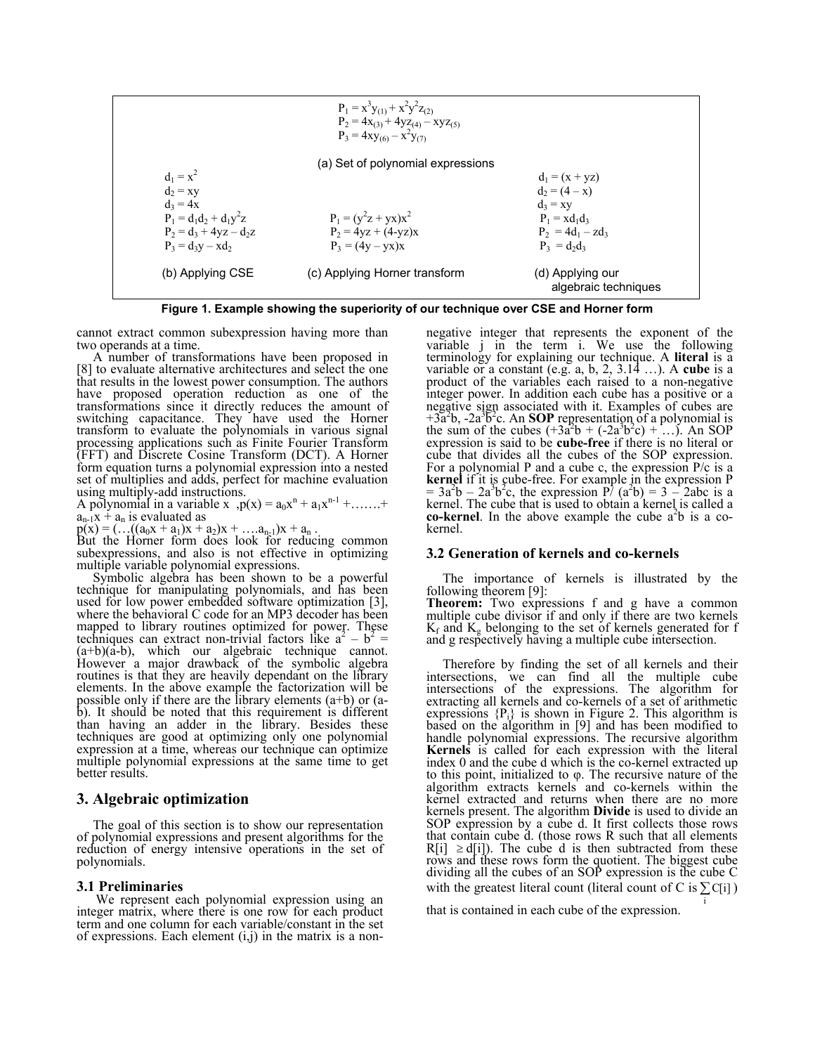| $P_1 = x^3y_{(1)} + x^2y^2z_{(2)}$       |                               |                                       |
|------------------------------------------|-------------------------------|---------------------------------------|
| $P_2 = 4x_{(3)} + 4yz_{(4)} - xyz_{(5)}$ |                               |                                       |
| $P_3 = 4xy_{(6)} - x^2y_{(7)}$           |                               |                                       |
| $d_1 = x^2$                              | $d_2 = xy$                    |                                       |
| $d_2 = xy$                               | $d_2 = (4 - x)$               |                                       |
| $d_3 = 4x$                               | $d_3 = xy$                    |                                       |
| $P_1 = d_1d_2 + d_1y^2z$                 | $P_1 = (y^2z + yx)x^2$        | $P_1 = xd_1d_3$                       |
| $P_2 = d_3 + 4yz - d_2z$                 | $P_2 = 4yz + (4 - yz)x$       | $P_2 = 4d_1 - zd_3$                   |
| $P_3 = d_3y - xd_2$                      | $P_3 = (4y - yx)x$            | $P_3 = d_2d_3$                        |
| (b) Applying CSE                         | (c) Applying Horner transform | (d) Applying our algebraic techniques |

**Figure 1. Example showing the superiority of our technique over CSE and Horner form** 

cannot extract common subexpression having more than two operands at a time.

 A number of transformations have been proposed in [8] to evaluate alternative architectures and select the one that results in the lowest power consumption. The authors have proposed operation reduction as one of the transformations since it directly reduces the amount of switching capacitance. They have used the Horner transform to evaluate the polynomials in various signal processing applications such as Finite Fourier Transform (FFT) and Discrete Cosine Transform (DCT). A Horner form equation turns a polynomial expression into a nested set of multiplies and adds, perfect for machine evaluation using multiply-add instructions.

A polynomial in a variable x  $p(x) = a_0x^n + a_1x^{n-1} + \dots$  $a_{n-1}x + a_n$  is evaluated as

 $p(x) = (...(a_0x + a_1)x + a_2)x + ... a_{n-1}x + a_n$ .<br>But the Horner form does look for reducing common subexpressions, and also is not effective in optimizing multiple variable polynomial expressions.

 Symbolic algebra has been shown to be a powerful technique for manipulating polynomials, and has been used for low power embedded software optimization [3], where the behavioral C code for an MP3 decoder has been mapped to library routines optimized for power. These techniques can extract non-trivial factors like  $a^2 - b^2 = (a+b)(a-b)$ , which our algebraic technique cannot.  $(a+b)(a-b)$ , which our algebraic technique cannot.<br>However a major drawback of the symbolic algebra routines is that they are heavily dependant on the library elements. In the above example the factorization will be possible only if there are the library elements (a+b) or (ab). It should be noted that this requirement is different than having an adder in the library. Besides these techniques are good at optimizing only one polynomial expression at a time, whereas our technique can optimize multiple polynomial expressions at the same time to get better results.

# **3. Algebraic optimization**

The goal of this section is to show our representation of polynomial expressions and present algorithms for the reduction of energy intensive operations in the set of polynomials.

## **3.1 Preliminaries**

We represent each polynomial expression using an integer matrix, where there is one row for each product term and one column for each variable/constant in the set of expressions. Each element  $(i,j)$  in the matrix is a non-

negative integer that represents the exponent of the variable j in the term i. We use the following terminology for explaining our technique. A **literal** is a variable or a constant (e.g. a, b, 2, 3.14 …). A **cube** is a product of the variables each raised to a non-negative integer power. In addition each cube has a positive or a negative sign associated with it. Examples of cubes are  $+3a<sup>2</sup>b$ ,  $-2a<sup>3</sup>b<sup>2</sup>c$ . An **SOP** representation of a polynomial is the sum of the cubes  $(+3a<sup>2</sup>b + (-2a<sup>3</sup>b<sup>2</sup>c) + ...)$ . An SOP expression is said to be **cube-free** if there is no literal or cube that divides all the cubes of the SOP expression. For a polynomial P and a cube c, the expression P/c is a **kernel** if it is cube-free. For example in the expression P  $= 3a<sup>2</sup>b - 2a<sup>3</sup>b<sup>2</sup>c$ , the expression P/ (a<sup>2</sup>b) = 3 – 2abc is a kernel. The cube that is used to obtain a kernel is called a **co-kernel**. In the above example the cube  $a^2b$  is a cokernel.

#### **3.2 Generation of kernels and co-kernels**

 The importance of kernels is illustrated by the following theorem [9]:

**Theorem:** Two expressions f and g have a common multiple cube divisor if and only if there are two kernels  $K_f$  and  $K_g$  belonging to the set of kernels generated for f and g respectively having a multiple cube intersection.

Therefore by finding the set of all kernels and their intersections, we can find all the multiple cube intersections of the expressions. The algorithm for extracting all kernels and co-kernels of a set of arithmetic expressions  ${P_i}$  is shown in Figure 2. This algorithm is based on the algorithm in [9] and has been modified to handle polynomial expressions. The recursive algorithm **Kernels** is called for each expression with the literal index 0 and the cube d which is the co-kernel extracted up to this point, initialized to φ. The recursive nature of the algorithm extracts kernels and co-kernels within the kernel extracted and returns when there are no more kernels present. The algorithm **Divide** is used to divide an SOP expression by a cube d. It first collects those rows that contain cube d. (those rows R such that all elements  $R[i] \ge d[i]$ ). The cube d is then subtracted from these rows and these rows form the quotient. The biggest cube dividing all the cubes of an SOP expression is the cube C with the greatest literal count (literal count of C is  $\sum C[i]$ )

i

that is contained in each cube of the expression.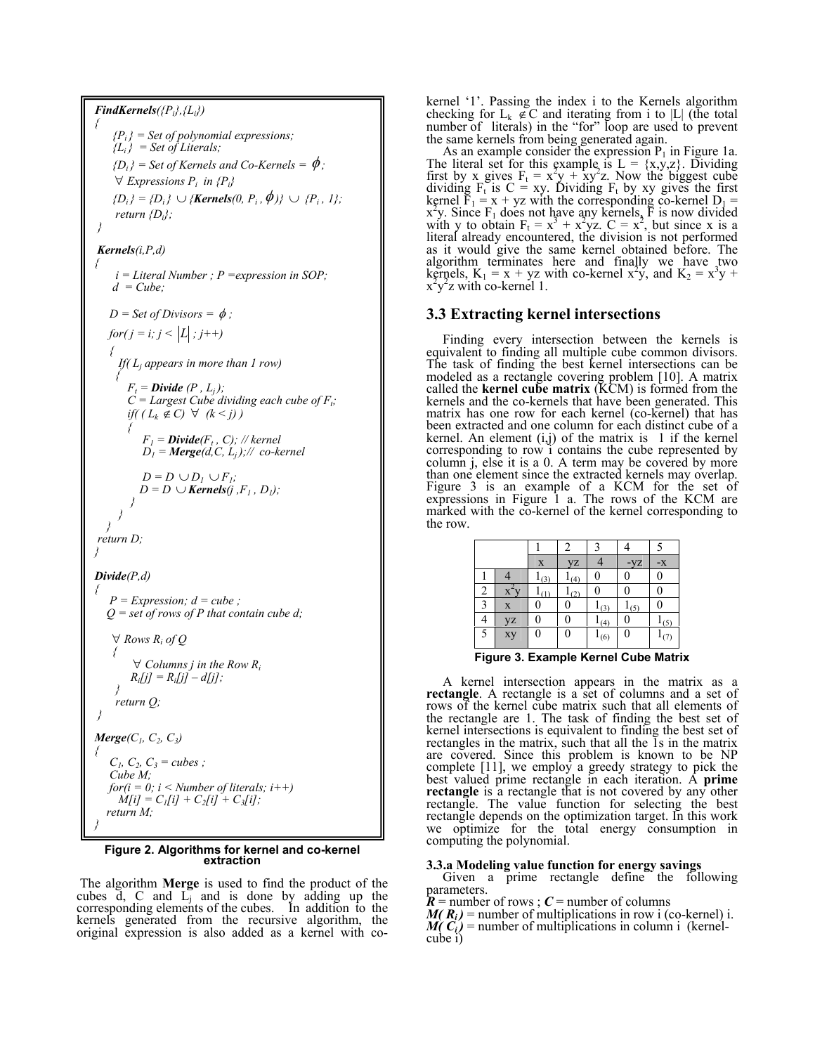*FindKernels({Pi},{Li}) { {Pi } = Set of polynomial expressions;*   ${L_i}$  = Set of Literals;  $\{D_i\}$  = Set of Kernels and Co-Kernels =  $\phi$ ;  $∀$  *Expressions*  $P_i$  *in*  ${P_i}$ *{D<sub>i</sub>}* = *{D<sub>i</sub>}* ∪ *{Kernels*(0, *P<sub>i</sub>*,  $\phi$ )} ∪ *{P<sub>i</sub>*, *1}; return {Di}; } Kernels(i,P,d) { i = Literal Number ; P =expression in SOP;*   $d = Cube:$  $D = Set of Divisors = \phi$ ;  $for(j = i; j < |L|; j++)$  *{ If( Lj appears in more than 1 row) {*   $F_t = \textbf{Divide}(P, L_j);$  $C = \text{Largest Cube dividing each cube of } F_t$ ; *if*(  $(L_k \notin C)$  ∀  $(k < j)$  )  *{*   $F_I = \textbf{Divide}(F_t, C)$ ; // kernel  $D_l = \text{Merge}(d, C, L_i);$ // co-kernel  $D = D \cup D_l \cup F_l;$  $D = D \cup \textit{Kernels}(i, F_1, D_1);$  *} } } return D; } Divide(P,d) {*   $P = Expression$ ;  $d = cube$ ;  *Q = set of rows of P that contain cube d;*   $∀$ *Rows*  $R_i$  of  $O$  *{*   $∀$  *Columns j in the Row R<sub>i</sub>*  $R_i[j] = R_i[j] - d[j];$  *} return Q; } Merge*(*C*<sub>*l*</sub>, *C*<sub>2</sub>, *C*<sub>3</sub>) *{*   $C_1, C_2, C_3 = cubes$ :  *Cube M; for*( $i = 0$ ;  $i <$  *Number of literals*;  $i++$ )  $M[i] = C_{1}[i] + C_{2}[i] + C_{3}[i]$ ;  *return M; }* 

# **Figure 2. Algorithms for kernel and co-kernel extraction**

 The algorithm **Merge** is used to find the product of the cubes d, C and Lj and is done by adding up the corresponding elements of the cubes. In addition to the kernels generated from the recursive algorithm, the original expression is also added as a kernel with cokernel '1'. Passing the index i to the Kernels algorithm checking for  $L_k \notin \mathbb{C}$  and iterating from i to |L| (the total number of literals) in the "for" loop are used to prevent the same kernels from being generated again.

As an example consider the expression  $P_1$  in Figure 1a. The literal set for this example is  $L = \{x, y, z\}$ . Dividing first by x gives  $F_t = x^2y + xy^2z$ . Now the biggest cube dividing  $F_t$  is  $C = xy$ . Dividing  $F_t$  by xy gives the first kernel  $\overline{F}_1 = x + yz$  with the corresponding co-kernel  $D_1 = x^2y$ . Since  $F_1$  does not have any kernels,  $\overline{F}$  is now divided with y to obtain  $F_t = x^3 + x^2yz$ .  $C = x^2$ , but since x is a literal already encountered, the division is not performed as it would give the same kernel obtained before. The algorithm terminates here and finally we have two kernels,  $K_1 = x + yz$  with co-kernel x<sup>2</sup>y, and  $K_2 = x^3y + x^2y^2z$  with co-kernel 1.  $y^2$ z with co-kernel 1.

# **3.3 Extracting kernel intersections**

Finding every intersection between the kernels is equivalent to finding all multiple cube common divisors. The task of finding the best kernel intersections can be modeled as a rectangle covering problem [10]. A matrix called the **kernel cube matrix** (KCM) is formed from the kernels and the co-kernels that have been generated. This matrix has one row for each kernel (co-kernel) that has been extracted and one column for each distinct cube of a kernel. An element  $(i, j)$  of the matrix is 1 if the kernel corresponding to row i contains the cube represented by column j, else it is a 0. A term may be covered by more than one element since the extracted kernels may overlap. Figure 3 is an example of a KCM for the set of expressions in Figure 1 a. The rows of the KCM are marked with the co-kernel of the kernel corresponding to the row.

|                |    |               | 2   |           |       | 5             |
|----------------|----|---------------|-----|-----------|-------|---------------|
|                |    | X             | yz  |           | $-YZ$ | $\mathbf{-X}$ |
|                |    | $\frac{1}{3}$ | (4) |           | 0     | 0             |
| 2              |    | (1)           | (2) |           | C     |               |
| $\mathcal{R}$  | X  |               |     | (3)       | (5)   | ſ             |
| $\overline{4}$ | yz |               |     | (4)       | C     | $\frac{1}{5}$ |
| 5              | xy |               | 0   | $1_{(6)}$ | 0     | (7)           |

**Figure 3. Example Kernel Cube Matrix**

 A kernel intersection appears in the matrix as a **rectangle**. A rectangle is a set of columns and a set of rows of the kernel cube matrix such that all elements of the rectangle are 1. The task of finding the best set of kernel intersections is equivalent to finding the best set of rectangles in the matrix, such that all the 1s in the matrix are covered. Since this problem is known to be NP complete [11], we employ a greedy strategy to pick the best valued prime rectangle in each iteration. A **prime rectangle** is a rectangle that is not covered by any other rectangle. The value function for selecting the best rectangle depends on the optimization target. In this work we optimize for the total energy consumption in computing the polynomial.

### **3.3.a Modeling value function for energy savings**

 Given a prime rectangle define the following parameters.

 $\mathbf{\hat{R}}$  = number of rows ;  $\mathbf{\hat{C}}$  = number of columns

 $M(R_i)$  = number of multiplications in row i (co-kernel) i.  $M(C_i)$  = number of multiplications in column i (kernelcube i)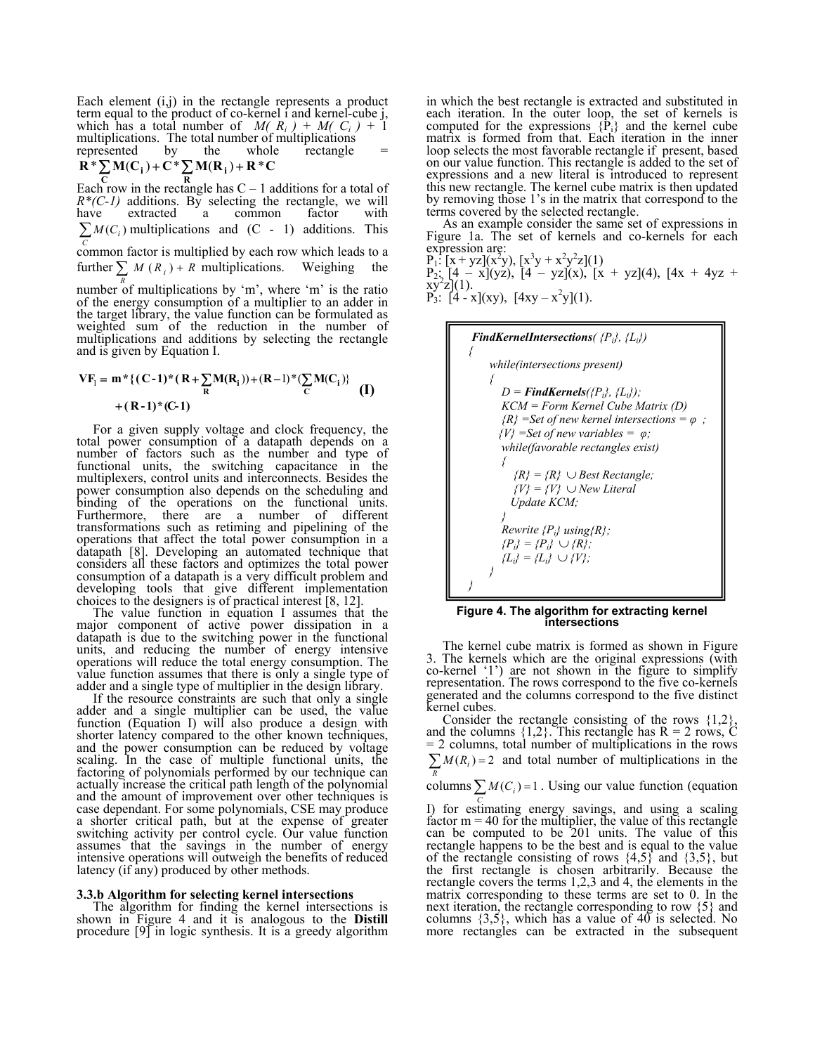Each element  $(i,j)$  in the rectangle represents a product term equal to the product of co-kernel i and kernel-cube j, which has a total number of  $M(R_i) + M(C_i) + 1$ multiplications. The total number of multiplications<br>represented by the whole rectangle represented

$$
R^* \sum M(C_i) + C^* \sum M(R_i) + R^* C
$$

**R** Each row in the rectangle has  $C - 1$  additions for a total of  $R^*(C-1)$  additions. By selecting the rectangle, we will have extracted a common factor with  $\sum M(C_i)$  multiplications and (C - 1) additions. This *C* common factor is multiplied by each row which leads to a

further  $\sum M(R_i) + R$  $\sum_{R} M(R_i) + R$  multiplications. Weighing the

number of multiplications by 'm', where 'm' is the ratio of the energy consumption of a multiplier to an adder in the target library, the value function can be formulated as weighted sum of the reduction in the number of multiplications and additions by selecting the rectangle and is given by Equation I.

$$
VF_{i} = m * \{ (C-1) * (R + \sum_{R} M(R_{i})) + (R-1) * (\sum_{C} M(C_{i}) \} + (R-1) * (C-1)
$$
\n(1)

 For a given supply voltage and clock frequency, the total power consumption of a datapath depends on a number of factors such as the number and type of functional units, the switching capacitance in the multiplexers, control units and interconnects. Besides the power consumption also depends on the scheduling and binding of the operations on the functional units. Furthermore, there are a number of different transformations such as retiming and pipelining of the operations that affect the total power consumption in a datapath [8]. Developing an automated technique that considers all these factors and optimizes the total power consumption of a datapath is a very difficult problem and developing tools that give different implementation choices to the designers is of practical interest [8, 12].

 The value function in equation I assumes that the major component of active power dissipation in a datapath is due to the switching power in the functional units, and reducing the number of energy intensive operations will reduce the total energy consumption. The value function assumes that there is only a single type of adder and a single type of multiplier in the design library.

 If the resource constraints are such that only a single adder and a single multiplier can be used, the value function (Equation I) will also produce a design with shorter latency compared to the other known techniques, and the power consumption can be reduced by voltage scaling. In the case of multiple functional units, the factoring of polynomials performed by our technique can actually increase the critical path length of the polynomial and the amount of improvement over other techniques is case dependant. For some polynomials, CSE may produce a shorter critical path, but at the expense of greater switching activity per control cycle. Our value function assumes that the savings in the number of energy intensive operations will outweigh the benefits of reduced latency (if any) produced by other methods.

#### **3.3.b Algorithm for selecting kernel intersections**

The algorithm for finding the kernel intersections is shown in Figure 4 and it is analogous to the **Distill** procedure [9] in logic synthesis. It is a greedy algorithm in which the best rectangle is extracted and substituted in each iteration. In the outer loop, the set of kernels is computed for the expressions  $\{P_i\}$  and the kernel cube matrix is formed from that. Each iteration in the inner loop selects the most favorable rectangle if present, based on our value function. This rectangle is added to the set of expressions and a new literal is introduced to represent this new rectangle. The kernel cube matrix is then updated by removing those 1's in the matrix that correspond to the terms covered by the selected rectangle.

 As an example consider the same set of expressions in Figure 1a. The set of kernels and co-kernels for each expression are:

 $P_1$ :  $[x + yz](x^2y)$ ,  $[x^3y + x^2y^2z](1)$ P<sub>2</sub>: [4 – x](yz), [4 – yz](x), [x + yz](4), [4x + 4yz + xy<sup>2</sup>z](1).<br>xy<sup>2</sup>z](1).<br>P<sub>3</sub>: [4 - x](xy), [4xy – x<sup>2</sup>y](1).



**Figure 4. The algorithm for extracting kernel intersections**

 The kernel cube matrix is formed as shown in Figure 3. The kernels which are the original expressions (with co-kernel '1') are not shown in the figure to simplify representation. The rows correspond to the five co-kernels generated and the columns correspond to the five distinct kernel cubes.

 Consider the rectangle consisting of the rows {1,2}, and the columns  $\{1,2\}$ . This rectangle has  $R = 2$  rows, C = 2 columns, total number of multiplications in the rows  $\sum M(R_i) = 2$  and total number of multiplications in the *R*

columns  $\sum M(C_i) = 1$ . Using our value function (equation *C*

I) for estimating energy savings, and using a scaling factor  $m = 40$  for the multiplier, the value of this rectangle can be computed to be 201 units. The value of this rectangle happens to be the best and is equal to the value of the rectangle consisting of rows  $\{4,5\}$  and  $\{3,5\}$ , but the first rectangle is chosen arbitrarily. Because the rectangle covers the terms 1,2,3 and 4, the elements in the matrix corresponding to these terms are set to 0. In the next iteration, the rectangle corresponding to row {5} and columns  $\{3,5\}$ , which has a value of  $40$  is selected. No more rectangles can be extracted in the subsequent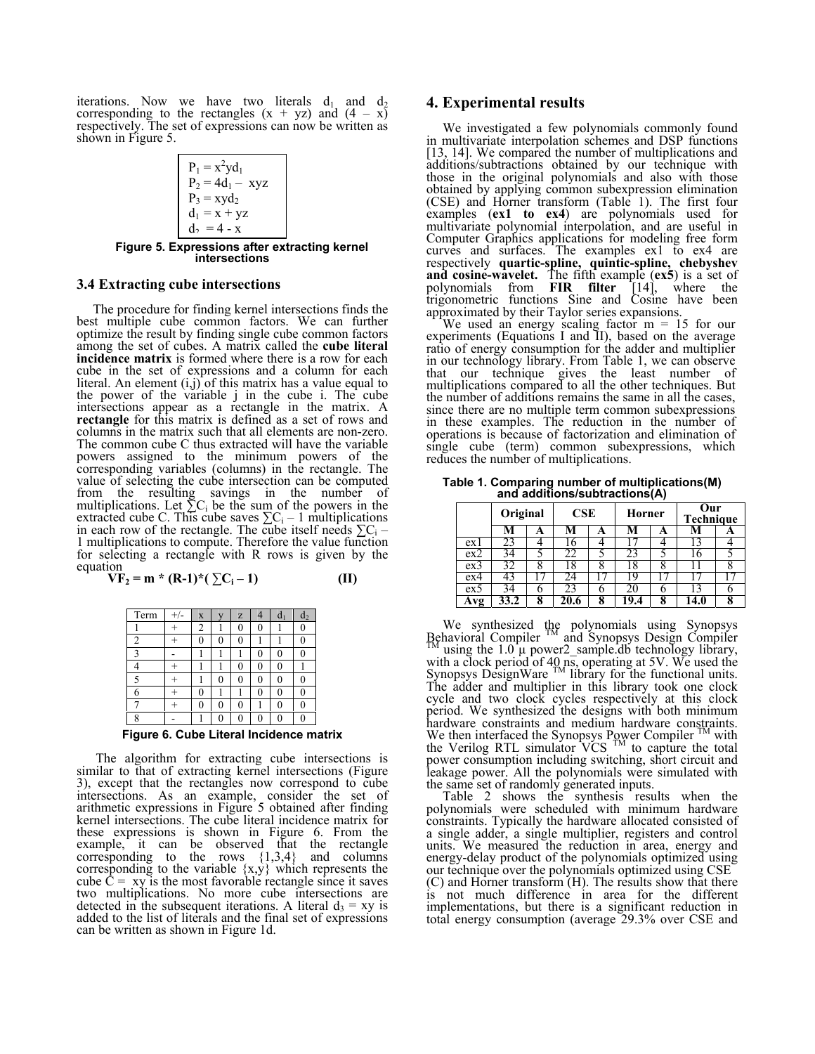iterations. Now we have two literals  $d_1$  and  $d_2$ corresponding to the rectangles  $(x + yz)$  and  $(4 - x)$ respectively. The set of expressions can now be written as shown in Figure 5.

| \n $\begin{bmatrix}\n P_1 = x^2 y d_1 \\ P_2 = 4d_1 - xyz \\ P_3 = xy d_2 \\ d_1 = x + yz \\ d_2 = 4 - x\n \end{bmatrix}$ \n |
|------------------------------------------------------------------------------------------------------------------------------|
| \n <b>Figure 5. Expressions after extracting Kernel intersections</b> \n                                                     |

### **3.4 Extracting cube intersections**

The procedure for finding kernel intersections finds the best multiple cube common factors. We can further optimize the result by finding single cube common factors among the set of cubes. A matrix called the **cube literal incidence matrix** is formed where there is a row for each cube in the set of expressions and a column for each literal. An element  $(i,j)$  of this matrix has a value equal to the power of the variable j in the cube i. The cube intersections appear as a rectangle in the matrix. A **rectangle** for this matrix is defined as a set of rows and columns in the matrix such that all elements are non-zero. The common cube C thus extracted will have the variable powers assigned to the minimum powers of the corresponding variables (columns) in the rectangle. The value of selecting the cube intersection can be computed from the resulting savings in the number of multiplications. Let  $\Sigma C_i$  be the sum of the powers in the extracted cube C. This cube saves  $\sum C_i - 1$  multiplications in each row of the rectangle. The cube itself needs  $\sum C_i - 1$  multiplications to compute. Therefore the value function for selecting a rectangle with R rows is given by the equation

$$
VF_2 = m * (R-1) * (\sum C_i - 1)
$$
 (II)

| Term           | X | z |  | d <sub>2</sub> |
|----------------|---|---|--|----------------|
|                |   | 0 |  |                |
| $\overline{2}$ |   | በ |  |                |
| 2              |   |   |  |                |
|                |   | 0 |  |                |
|                |   | 0 |  |                |
|                |   |   |  |                |
|                |   | 0 |  |                |
|                |   |   |  |                |

**Figure 6. Cube Literal Incidence matrix** 

The algorithm for extracting cube intersections is similar to that of extracting kernel intersections (Figure 3), except that the rectangles now correspond to cube intersections. As an example, consider the set of arithmetic expressions in Figure 5 obtained after finding kernel intersections. The cube literal incidence matrix for these expressions is shown in Figure 6. From the example, it can be observed that the rectangle corresponding to the rows  $\{1,3,4\}$  and columns corresponding to the variable  $\{x,y\}$  which represents the cube  $C = xy$  is the most favorable rectangle since it saves two multiplications. No more cube intersections are detected in the subsequent iterations. A literal  $d_3 = xy$  is added to the list of literals and the final set of expressions can be written as shown in Figure 1d.

## **4. Experimental results**

 We investigated a few polynomials commonly found in multivariate interpolation schemes and DSP functions [13, 14]. We compared the number of multiplications and additions/subtractions obtained by our technique with those in the original polynomials and also with those obtained by applying common subexpression elimination (CSE) and Horner transform (Table 1). The first four examples (**ex1 to ex4**) are polynomials used for multivariate polynomial interpolation, and are useful in Computer Graphics applications for modeling free form curves and surfaces. The examples ex1 to ex4 are respectively **quartic-spline, quintic-spline, chebyshev and cosine-wavelet.** The fifth example (**ex5**) is a set of polynomials from **FIR filter** [14], where the trigonometric functions Sine and Cosine have been approximated by their Taylor series expansions.

We used an energy scaling factor  $m = 15$  for our experiments (Equations I and II), based on the average ratio of energy consumption for the adder and multiplier in our technology library. From Table 1, we can observe that our technique gives the least number of multiplications compared to all the other techniques. But the number of additions remains the same in all the cases, since there are no multiple term common subexpressions in these examples. The reduction in the number of operations is because of factorization and elimination of single cube (term) common subexpressions, which reduces the number of multiplications.

**Table 1. Comparing number of multiplications(M) and additions/subtractions(A)** 

|      | Original |   | CSE |   | Horner |   | Our<br><b>Technique</b> |   |
|------|----------|---|-----|---|--------|---|-------------------------|---|
|      | м        | A | M   | A | м      | A | VI                      | A |
| ex l |          |   |     |   |        |   |                         |   |
| ex2  |          |   |     |   |        |   | 6 <sup>o</sup>          |   |
| ex3  |          |   | Õ   | " | ŏ      | Ω |                         |   |
| ex4  |          |   |     |   |        |   |                         |   |
| ex:  |          |   |     |   |        |   |                         |   |
| .vg  |          |   |     |   |        |   | 4 II                    | 8 |

We synthesized the polynomials using Synopsys Behavioral Compiler <sup>TM</sup> and Synopsys Design Compiler  $\text{M}_{\text{M}}$  using the 1.0  $\mu$  power2 sample.db technology library, with a clock period of  $40 \text{ n}\bar{\text{s}}$ , operating at 5V. We used the Synopsys DesignWare  $\frac{1 \text{ M}}{2}$  library for the functional units. The adder and multiplier in this library took one clock cycle and two clock cycles respectively at this clock period. We synthesized the designs with both minimum hardware constraints and medium hardware constraints.<br>We then interfaced the Synopsys Power Compiler <sup>TM</sup> with the Verilog RTL simulator VCS  $^{TM}$  to capture the total power consumption including switching, short circuit and leakage power. All the polynomials were simulated with the same set of randomly generated inputs.

Table 2 shows the synthesis results when the polynomials were scheduled with minimum hardware constraints. Typically the hardware allocated consisted of a single adder, a single multiplier, registers and control units. We measured the reduction in area, energy and energy-delay product of the polynomials optimized using our technique over the polynomials optimized using CSE (C) and Horner transform (H). The results show that there is not much difference in area for the different implementations, but there is a significant reduction in total energy consumption (average 29.3% over CSE and